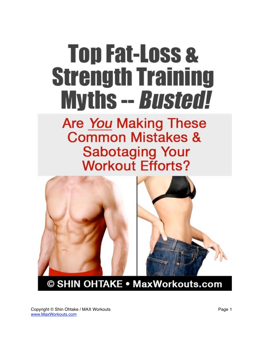# **Top Fat-Loss & Strength Training Myths -- Busted!**

## **Are You Making These Common Mistakes & Sabotaging Your Workout Efforts?**



© SHIN OHTAKE . MaxWorkouts.com

Copyright © Shin Ohtake / MAX Workouts Page 1 [www.MaxWorkouts.com](http://maxworkouts.com/?a_aid=Na&a_bid=816f6642)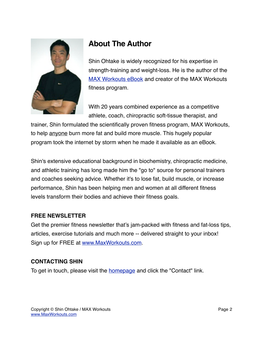

### **About The Author**

Shin Ohtake is widely recognized for his expertise in strength-training and weight-loss. He is the author of the [MAX Workouts eBook](http://maxworkouts.com/?a_aid=Na&a_bid=816f6642) and creator of the MAX Workouts fitness program.

With 20 years combined experience as a competitive athlete, coach, chiropractic soft-tissue therapist, and

trainer, Shin formulated the scientifically proven fitness program, MAX Workouts, to help anyone burn more fat and build more muscle. This hugely popular program took the internet by storm when he made it available as an eBook.

Shin's extensive educational background in biochemistry, chiropractic medicine, and athletic training has long made him the "go to" source for personal trainers and coaches seeking advice. Whether it's to lose fat, build muscle, or increase performance, Shin has been helping men and women at all different fitness levels transform their bodies and achieve their fitness goals.

#### **FREE NEWSLETTER**

Get the premier fitness newsletter that's jam-packed with fitness and fat-loss tips, articles, exercise tutorials and much more -- delivered straight to your inbox! Sign up for FREE at [www.MaxWorkouts.com.](http://maxworkouts.com/?a_aid=Na&a_bid=816f6642)

#### **CONTACTING SHIN**

To get in touch, please visit the **homepage** and click the "Contact" link.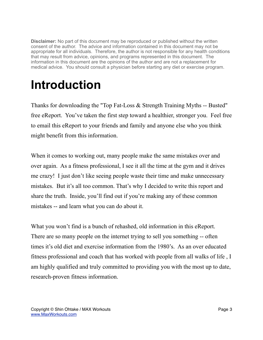**Disclaimer:** No part of this document may be reproduced or published without the written consent of the author. The advice and information contained in this document may not be appropriate for all individuals. Therefore, the author is not responsible for any health conditions that may result from advice, opinions, and programs represented in this document. The information in this document are the opinions of the author and are not a replacement for medical advice. You should consult a physician before starting any diet or exercise program.

# **Introduction**

Thanks for downloading the "Top Fat-Loss & Strength Training Myths -- Busted" free eReport. You've taken the first step toward a healthier, stronger you. Feel free to email this eReport to your friends and family and anyone else who you think might benefit from this information.

When it comes to working out, many people make the same mistakes over and over again. As a fitness professional, I see it all the time at the gym and it drives me crazy! I just don't like seeing people waste their time and make unnecessary mistakes. But it's all too common. That's why I decided to write this report and share the truth. Inside, you'll find out if you're making any of these common mistakes -- and learn what you can do about it.

What you won't find is a bunch of rehashed, old information in this eReport. There are so many people on the internet trying to sell you something -- often times it's old diet and exercise information from the 1980's. As an over educated fitness professional and coach that has worked with people from all walks of life , I am highly qualified and truly committed to providing you with the most up to date, research-proven fitness information.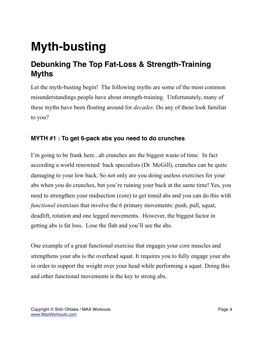# **Myth-busting**

### **Debunking The Top Fat-Loss & Strength-Training Myths**

Let the myth-busting begin! The following myths are some of the most common misunderstandings people have about strength-training. Unfortunately, many of these myths have been floating around for *decades*. Do any of these look familiar to you?

#### **MYTH #1 : To get 6-pack abs you need to do crunches**

I'm going to be frank here...ab crunches are the biggest waste of time. In fact according a world renowned back specialists (Dr. McGill), crunches can be quite damaging to your low back. So not only are you doing useless exercises for your abs when you do crunches, but you're ruining your back at the same time! Yes, you need to strengthen your midsection (core) to get toned abs and you can do this with *functional* exercises that involve the 6 primary movements: push, pull, squat, deadlift, rotation and one legged movements. However, the biggest factor in getting abs is fat loss. Lose the flab and you'll see the abs.

One example of a great functional exercise that engages your core muscles and strengthens your abs is the overhead squat. It requires you to fully engage your abs in order to support the weight over your head while performing a squat. Doing this and other functional movements is the key to strong abs.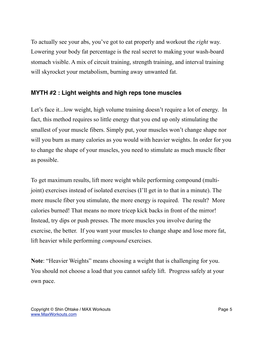To actually see your abs, you've got to eat properly and workout the *right* way. Lowering your body fat percentage is the real secret to making your wash-board stomach visible. A mix of circuit training, strength training, and interval training will skyrocket your metabolism, burning away unwanted fat.

#### **MYTH #2 : Light weights and high reps tone muscles**

Let's face it... low weight, high volume training doesn't require a lot of energy. In fact, this method requires so little energy that you end up only stimulating the smallest of your muscle fibers. Simply put, your muscles won't change shape nor will you burn as many calories as you would with heavier weights. In order for you to change the shape of your muscles, you need to stimulate as much muscle fiber as possible.

To get maximum results, lift more weight while performing compound (multijoint) exercises instead of isolated exercises (I'll get in to that in a minute). The more muscle fiber you stimulate, the more energy is required. The result? More calories burned! That means no more tricep kick backs in front of the mirror! Instead, try dips or push presses. The more muscles you involve during the exercise, the better. If you want your muscles to change shape and lose more fat, lift heavier while performing *compound* exercises.

**Note**: "Heavier Weights" means choosing a weight that is challenging for you. You should not choose a load that you cannot safely lift. Progress safely at your own pace.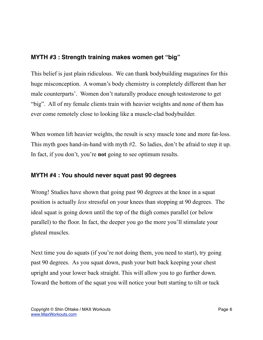#### **MYTH #3 : Strength training makes women get "big"**

This belief is just plain ridiculous. We can thank bodybuilding magazines for this huge misconception. A woman's body chemistry is completely different than her male counterparts'. Women don't naturally produce enough testosterone to get "big". All of my female clients train with heavier weights and none of them has ever come remotely close to looking like a muscle-clad bodybuilder.

When women lift heavier weights, the result is sexy muscle tone and more fat-loss. This myth goes hand-in-hand with myth #2. So ladies, don't be afraid to step it up. In fact, if you don't, you're **not** going to see optimum results.

#### **MYTH #4 : You should never squat past 90 degrees**

Wrong! Studies have shown that going past 90 degrees at the knee in a squat position is actually *less* stressful on your knees than stopping at 90 degrees. The ideal squat is going down until the top of the thigh comes parallel (or below parallel) to the floor. In fact, the deeper you go the more you'll stimulate your gluteal muscles.

Next time you do squats (if you're not doing them, you need to start), try going past 90 degrees. As you squat down, push your butt back keeping your chest upright and your lower back straight. This will allow you to go further down. Toward the bottom of the squat you will notice your butt starting to tilt or tuck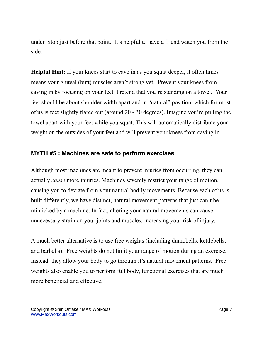under. Stop just before that point. It's helpful to have a friend watch you from the side.

**Helpful Hint:** If your knees start to cave in as you squat deeper, it often times means your gluteal (butt) muscles aren't strong yet. Prevent your knees from caving in by focusing on your feet. Pretend that you're standing on a towel. Your feet should be about shoulder width apart and in "natural" position, which for most of us is feet slightly flared out (around 20 - 30 degrees). Imagine you're pulling the towel apart with your feet while you squat. This will automatically distribute your weight on the outsides of your feet and will prevent your knees from caving in.

#### **MYTH #5 : Machines are safe to perform exercises**

Although most machines are meant to prevent injuries from occurring, they can actually *cause* more injuries. Machines severely restrict your range of motion, causing you to deviate from your natural bodily movements. Because each of us is built differently, we have distinct, natural movement patterns that just can't be mimicked by a machine. In fact, altering your natural movements can cause unnecessary strain on your joints and muscles, increasing your risk of injury.

A much better alternative is to use free weights (including dumbbells, kettlebells, and barbells). Free weights do not limit your range of motion during an exercise. Instead, they allow your body to go through it's natural movement patterns. Free weights also enable you to perform full body, functional exercises that are much more beneficial and effective.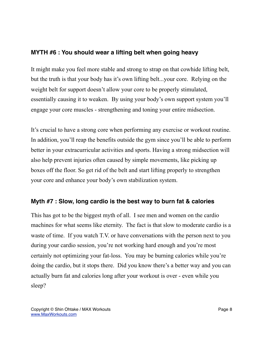#### **MYTH #6 : You should wear a lifting belt when going heavy**

It might make you feel more stable and strong to strap on that cowhide lifting belt, but the truth is that your body has it's own lifting belt...your core. Relying on the weight belt for support doesn't allow your core to be properly stimulated, essentially causing it to weaken. By using your body's own support system you'll engage your core muscles - strengthening and toning your entire midsection.

It's crucial to have a strong core when performing any exercise or workout routine. In addition, you'll reap the benefits outside the gym since you'll be able to perform better in your extracurricular activities and sports. Having a strong midsection will also help prevent injuries often caused by simple movements, like picking up boxes off the floor. So get rid of the belt and start lifting properly to strengthen your core and enhance your body's own stabilization system.

#### **Myth #7 : Slow, long cardio is the best way to burn fat & calories**

This has got to be the biggest myth of all. I see men and women on the cardio machines for what seems like eternity. The fact is that slow to moderate cardio is a waste of time. If you watch T.V. or have conversations with the person next to you during your cardio session, you're not working hard enough and you're most certainly not optimizing your fat-loss. You may be burning calories while you're doing the cardio, but it stops there. Did you know there's a better way and you can actually burn fat and calories long after your workout is over - even while you sleep?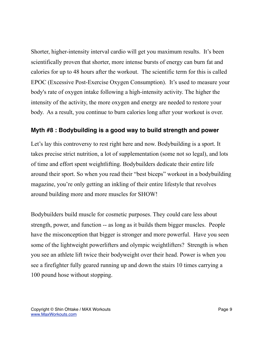Shorter, higher-intensity interval cardio will get you maximum results. It's been scientifically proven that shorter, more intense bursts of energy can burn fat and calories for up to 48 hours after the workout. The scientific term for this is called EPOC (Excessive Post-Exercise Oxygen Consumption). It's used to measure your body's rate of oxygen intake following a high-intensity activity. The higher the intensity of the activity, the more oxygen and energy are needed to restore your body. As a result, you continue to burn calories long after your workout is over.

#### **Myth #8 : Bodybuilding is a good way to build strength and power**

Let's lay this controversy to rest right here and now. Bodybuilding is a sport. It takes precise strict nutrition, a lot of supplementation (some not so legal), and lots of time and effort spent weightlifting. Bodybuilders dedicate their entire life around their sport. So when you read their "best biceps" workout in a bodybuilding magazine, you're only getting an inkling of their entire lifestyle that revolves around building more and more muscles for SHOW!

Bodybuilders build muscle for cosmetic purposes. They could care less about strength, power, and function -- as long as it builds them bigger muscles. People have the misconception that bigger is stronger and more powerful. Have you seen some of the lightweight powerlifters and olympic weightlifters? Strength is when you see an athlete lift twice their bodyweight over their head. Power is when you see a firefighter fully geared running up and down the stairs 10 times carrying a 100 pound hose without stopping.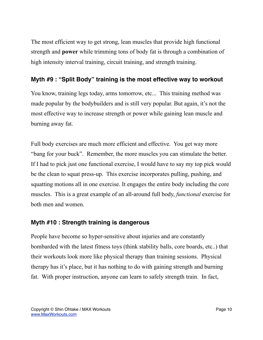The most efficient way to get strong, lean muscles that provide high functional strength and **power** while trimming tons of body fat is through a combination of high intensity interval training, circuit training, and strength training.

#### **Myth #9 : "Split Body" training is the most effective way to workout**

You know, training legs today, arms tomorrow, etc... This training method was made popular by the bodybuilders and is still very popular. But again, it's not the most effective way to increase strength or power while gaining lean muscle and burning away fat.

Full body exercises are much more efficient and effective. You get way more "bang for your buck". Remember, the more muscles you can stimulate the better. If I had to pick just one functional exercise, I would have to say my top pick would be the clean to squat press-up. This exercise incorporates pulling, pushing, and squatting motions all in one exercise. It engages the entire body including the core muscles. This is a great example of an all-around full body, *functional* exercise for both men and women.

#### **Myth #10 : Strength training is dangerous**

People have become so hyper-sensitive about injuries and are constantly bombarded with the latest fitness toys (think stability balls, core boards, etc..) that their workouts look more like physical therapy than training sessions. Physical therapy has it's place, but it has nothing to do with gaining strength and burning fat. With proper instruction, anyone can learn to safely strength train. In fact,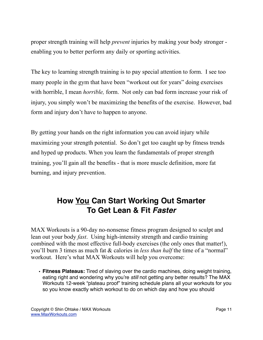proper strength training will help *prevent* injuries by making your body stronger enabling you to better perform any daily or sporting activities.

The key to learning strength training is to pay special attention to form. I see too many people in the gym that have been "workout out for years" doing exercises with horrible, I mean *horrible,* form. Not only can bad form increase your risk of injury, you simply won't be maximizing the benefits of the exercise. However, bad form and injury don't have to happen to anyone.

By getting your hands on the right information you can avoid injury while maximizing your strength potential. So don't get too caught up by fitness trends and hyped up products. When you learn the fundamentals of proper strength training, you'll gain all the benefits - that is more muscle definition, more fat burning, and injury prevention.

### **How You Can Start Working Out Smarter To Get Lean & Fit** *Faster*

MAX Workouts is a 90-day no-nonsense fitness program designed to sculpt and lean out your body *fast*. Using high-intensity strength and cardio training combined with the most effective full-body exercises (the only ones that matter!), you'll burn 3 times as much fat & calories in *less than half* the time of a "normal" workout. Here's what MAX Workouts will help you overcome:

• **Fitness Plateaus:** Tired of slaving over the cardio machines, doing weight training, eating right and wondering why you're *still* not getting any better results? The MAX Workouts 12-week "plateau proof" training schedule plans all your workouts for you so you know exactly which workout to do on which day and how you should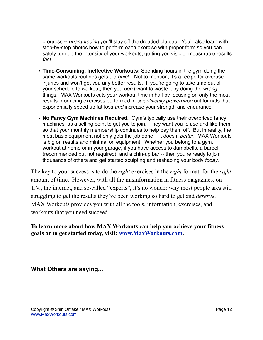progress -- *guaranteeing* you'll stay off the dreaded plateau. You'll also learn with step-by-step photos how to perform each exercise with proper form so you can safely turn up the intensity of your workouts, getting you visible, measurable results *fast*.

- **Time-Consuming, Ineffective Workouts:** Spending hours in the gym doing the same workouts routines gets old *quick*. Not to mention, it's a recipe for overuse injuries and won't get you any better results. If you're going to take time out of your schedule to workout, then you *don't* want to waste it by doing the *wrong* things. MAX Workouts cuts your workout time in half by focusing on only the most results-producing exercises performed in *scientifically proven* workout formats that exponentially speed up fat-loss *and* increase your strength and endurance.
- **No Fancy Gym Machines Required.** Gym's typically use their overpriced fancy machines as a selling point to get you to join. They want you to use and like them so that your monthly membership continues to help pay them off. But in reality, the most basic equipment not only gets the job done -- it does it *better*. MAX Workouts is big on results and minimal on equipment. Whether you belong to a gym, workout at home or in your garage, if you have access to dumbbells, a barbell (recommended but not required), and a chin-up bar -- then you're ready to join thousands of others and get started sculpting and reshaping your body *today*.

The key to your success is to do the *right* exercises in the *right* format, for the *right* amount of time. However, with all the misinformation in fitness magazines, on T.V., the internet, and so-called "experts", it's no wonder why most people ares still struggling to get the results they've been working so hard to get and *deserve*. MAX Workouts provides you with all the tools, information, exercises, and workouts that you need succeed.

**To learn more about how MAX Workouts can help you achieve your fitness goals or to get started today, visit: [www.MaxWorkouts.com.](http://maxworkouts.com/?a_aid=Na&a_bid=816f6642)** 

**What Others are saying...**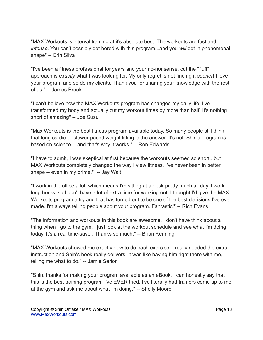"MAX Workouts is interval training at it's absolute best. The workouts are fast and *intense*. You can't possibly get bored with this program...and you *will* get in phenomenal shape" -- Erin Silva

"I've been a fitness professional for years and your no-nonsense, cut the "fluff" approach is *exactly* what I was looking for. My only regret is not finding it *sooner*! I love your program and so do my clients. Thank you for sharing your knowledge with the rest of us." -- James Brook

"I can't believe how the MAX Workouts program has changed my daily life. I've transformed my body and actually cut my workout times by more than half. It's nothing short of amazing" -- Joe Susu

"Max Workouts is the best fitness program available today. So many people still think that long cardio or slower-paced weight lifting is the answer. It's not. Shin's program is based on science -- and that's why it works." -- Ron Edwards

"I have to admit, I was skeptical at first because the workouts seemed so short...but MAX Workouts completely changed the way I view fitness. I've never been in better shape -- even in my prime." -- Jay Walt

"I work in the office a lot, which means I'm sitting at a desk pretty much all day. I work long hours, so I don't have a lot of extra time for working out. I thought I'd give the MAX Workouts program a try and that has turned out to be one of the best decisions I've ever made. I'm always telling people about your program. Fantastic!" -- Rich Evans

"The information and workouts in this book are awesome. I don't have think about a thing when I go to the gym. I just look at the workout schedule and see what I'm doing today. It's a real time-saver. Thanks so much." -- Brian Kenning

"MAX Workouts showed me exactly how to do each exercise. I really needed the extra instruction and Shin's book really delivers. It was like having him right there with me, telling me what to do." -- Jamie Serion

"Shin, thanks for making your program available as an eBook. I can honestly say that this is the best training program I've EVER tried. I've literally had trainers come up to me at the gym and ask me about what I'm doing." -- Shelly Moore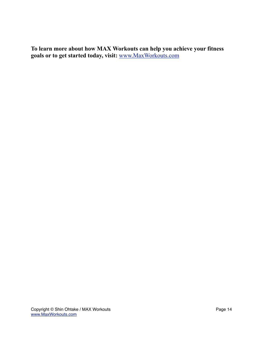**To learn more about how MAX Workouts can help you achieve your fitness goals or to get started today, visit:** [www.MaxWorkouts.com](http://maxworkouts.com/?a_aid=Na&a_bid=816f6642)